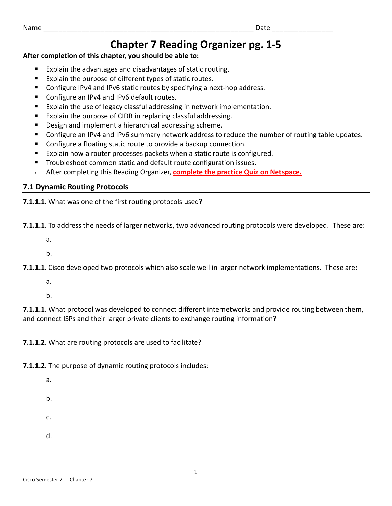# **Chapter 7 Reading Organizer pg. 1‐5**

## **After completion of this chapter, you should be able to:**

- Explain the advantages and disadvantages of static routing.
- Explain the purpose of different types of static routes.
- Configure IPv4 and IPv6 static routes by specifying a next-hop address.
- Configure an IPv4 and IPv6 default routes.
- Explain the use of legacy classful addressing in network implementation.
- Explain the purpose of CIDR in replacing classful addressing.
- Design and implement a hierarchical addressing scheme.
- Configure an IPv4 and IPv6 summary network address to reduce the number of routing table updates.
- Configure a floating static route to provide a backup connection.
- Explain how a router processes packets when a static route is configured.
- Troubleshoot common static and default route configuration issues.
- After completing this Reading Organizer, **complete the practice Quiz on Netspace.**

# **7.1 Dynamic Routing Protocols**

**7.1.1.1**. What was one of the first routing protocols used?

**7.1.1.1**. To address the needs of larger networks, two advanced routing protocols were developed. These are:

a.

b.

**7.1.1.1**. Cisco developed two protocols which also scale well in larger network implementations. These are:

a.

b.

**7.1.1.1**. What protocol was developed to connect different internetworks and provide routing between them, and connect ISPs and their larger private clients to exchange routing information?

**7.1.1.2**. What are routing protocols are used to facilitate?

**7.1.1.2**. The purpose of dynamic routing protocols includes:

- a.
- b.
- c.
- 
- d.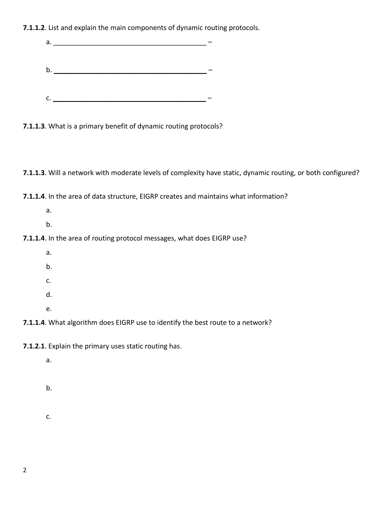**7.1.1.2**. List and explain the main components of dynamic routing protocols.

| а.                                                               |  |
|------------------------------------------------------------------|--|
| b.                                                               |  |
| $\mathsf{C}$ .                                                   |  |
| 7.1.1.3. What is a primary benefit of dynamic routing protocols? |  |

**7.1.1.3**. Will a network with moderate levels of complexity have static, dynamic routing, or both configured?

**7.1.1.4**. In the area of data structure, EIGRP creates and maintains what information?

- a.
- b.

# **7.1.1.4**. In the area of routing protocol messages, what does EIGRP use?

- a.
- b.
- c.
- d.
- e.

**7.1.1.4**. What algorithm does EIGRP use to identify the best route to a network?

**7.1.2.1**. Explain the primary uses static routing has.

a.

b.

c.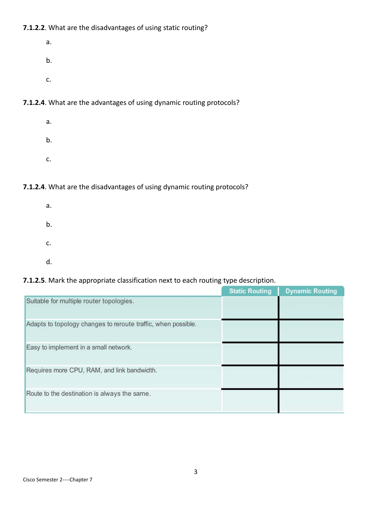## **7.1.2.2**. What are the disadvantages of using static routing?

- a. b.
- c.

## **7.1.2.4**. What are the advantages of using dynamic routing protocols?

a. b. c.

#### **7.1.2.4**. What are the disadvantages of using dynamic routing protocols?

a. b. c. d.

#### **7.1.2.5**. Mark the appropriate classification next to each routing type description.

|                                                               | <b>Static Routing</b> | <b>Dynamic Routing</b> |
|---------------------------------------------------------------|-----------------------|------------------------|
| Suitable for multiple router topologies.                      |                       |                        |
| Adapts to topology changes to reroute traffic, when possible. |                       |                        |
| Easy to implement in a small network.                         |                       |                        |
| Requires more CPU, RAM, and link bandwidth.                   |                       |                        |
| Route to the destination is always the same.                  |                       |                        |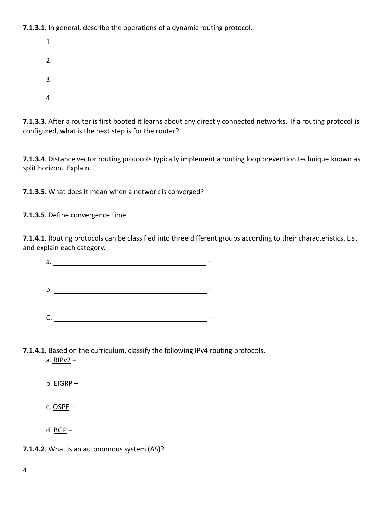**7.1.3.1**. In general, describe the operations of a dynamic routing protocol.

1. 2. 3.

4.

**7.1.3.3**. After a router is first booted it learns about any directly connected networks. If a routing protocol is configured, what is the next step is for the router?

**7.1.3.4**. Distance vector routing protocols typically implement a routing loop prevention technique known as split horizon. Explain.

**7.1.3.5**. What does it mean when a network is converged?

**7.1.3.5**. Define convergence time.

**7.1.4.1**. Routing protocols can be classified into three different groups according to their characteristics. List and explain each category.

a. \_\_\_\_\_\_\_\_\_\_\_\_\_\_\_\_\_\_\_\_\_\_\_\_\_\_\_\_\_\_\_\_\_\_\_\_\_\_\_\_ – b. \_\_\_\_\_\_\_\_\_\_\_\_\_\_\_\_\_\_\_\_\_\_\_\_\_\_\_\_\_\_\_\_\_\_\_\_\_\_\_\_ –

C. \_\_\_\_\_\_\_\_\_\_\_\_\_\_\_\_\_\_\_\_\_\_\_\_\_\_\_\_\_\_\_\_\_\_\_\_\_\_\_\_ –

**7.1.4.1**. Based on the curriculum, classify the following IPv4 routing protocols.

a. RIPv2 –

b. EIGRP –

c. OSPF –

d.  $BGP -$ 

**7.1.4.2**. What is an autonomous system (AS)?